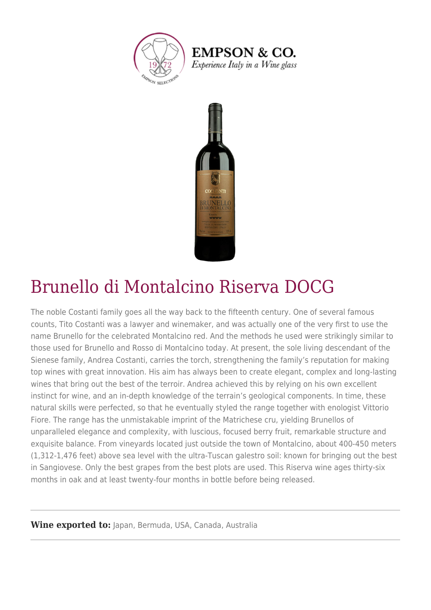

**EMPSON & CO.** Experience Italy in a Wine glass



## Brunello di Montalcino Riserva DOCG

The noble Costanti family goes all the way back to the fifteenth century. One of several famous counts, Tito Costanti was a lawyer and winemaker, and was actually one of the very first to use the name Brunello for the celebrated Montalcino red. And the methods he used were strikingly similar to those used for Brunello and Rosso di Montalcino today. At present, the sole living descendant of the Sienese family, Andrea Costanti, carries the torch, strengthening the family's reputation for making top wines with great innovation. His aim has always been to create elegant, complex and long-lasting wines that bring out the best of the terroir. Andrea achieved this by relying on his own excellent instinct for wine, and an in-depth knowledge of the terrain's geological components. In time, these natural skills were perfected, so that he eventually styled the range together with enologist Vittorio Fiore. The range has the unmistakable imprint of the Matrichese cru, yielding Brunellos of unparalleled elegance and complexity, with luscious, focused berry fruit, remarkable structure and exquisite balance. From vineyards located just outside the town of Montalcino, about 400-450 meters (1,312-1,476 feet) above sea level with the ultra-Tuscan galestro soil: known for bringing out the best in Sangiovese. Only the best grapes from the best plots are used. This Riserva wine ages thirty-six months in oak and at least twenty-four months in bottle before being released.

**Wine exported to: Japan, Bermuda, USA, Canada, Australia**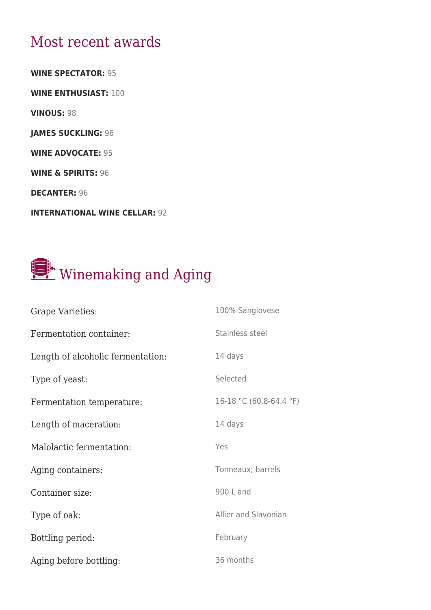## Most recent awards

**WINE SPECTATOR:** 95

**WINE ENTHUSIAST:** 100

**VINOUS:** 98

**JAMES SUCKLING:** 96

**WINE ADVOCATE:** 95

**WINE & SPIRITS:** 96

**DECANTER:** 96

**INTERNATIONAL WINE CELLAR:** 92

## Winemaking and Aging

| Grape Varieties:                  | 100% Sangiovese         |
|-----------------------------------|-------------------------|
| Fermentation container:           | Stainless steel         |
| Length of alcoholic fermentation: | 14 days                 |
| Type of yeast:                    | Selected                |
| Fermentation temperature:         | 16-18 °C (60.8-64.4 °F) |
| Length of maceration:             | 14 days                 |
| Malolactic fermentation:          | Yes                     |
| Aging containers:                 | Tonneaux; barrels       |
| Container size:                   | 900 L and               |
|                                   |                         |
| Type of oak:                      | Allier and Slavonian    |
| Bottling period:                  | February                |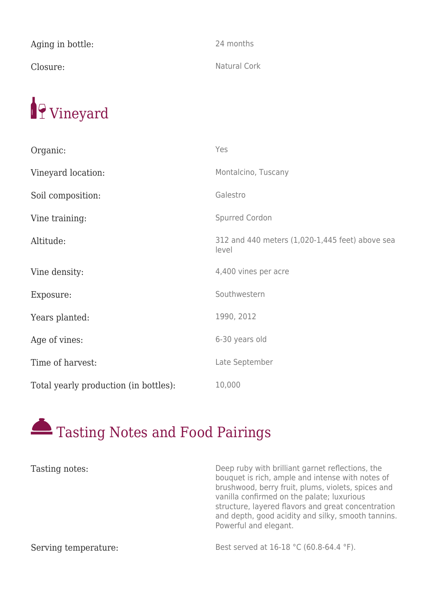| Aging in bottle: | 24 months    |
|------------------|--------------|
| Closure:         | Natural Cork |



| Organic:                              | Yes                                                      |
|---------------------------------------|----------------------------------------------------------|
| Vineyard location:                    | Montalcino, Tuscany                                      |
| Soil composition:                     | Galestro                                                 |
| Vine training:                        | Spurred Cordon                                           |
| Altitude:                             | 312 and 440 meters (1,020-1,445 feet) above sea<br>level |
| Vine density:                         | 4,400 vines per acre                                     |
| Exposure:                             | Southwestern                                             |
| Years planted:                        | 1990, 2012                                               |
| Age of vines:                         | 6-30 years old                                           |
| Time of harvest:                      | Late September                                           |
| Total yearly production (in bottles): | 10,000                                                   |

## Tasting Notes and Food Pairings

| Tasting notes:       | Deep ruby with brilliant garnet reflections, the<br>bouquet is rich, ample and intense with notes of<br>brushwood, berry fruit, plums, violets, spices and<br>vanilla confirmed on the palate; luxurious<br>structure, layered flavors and great concentration<br>and depth, good acidity and silky, smooth tannins.<br>Powerful and elegant. |
|----------------------|-----------------------------------------------------------------------------------------------------------------------------------------------------------------------------------------------------------------------------------------------------------------------------------------------------------------------------------------------|
| Serving temperature: | Best served at 16-18 °C (60.8-64.4 °F).                                                                                                                                                                                                                                                                                                       |